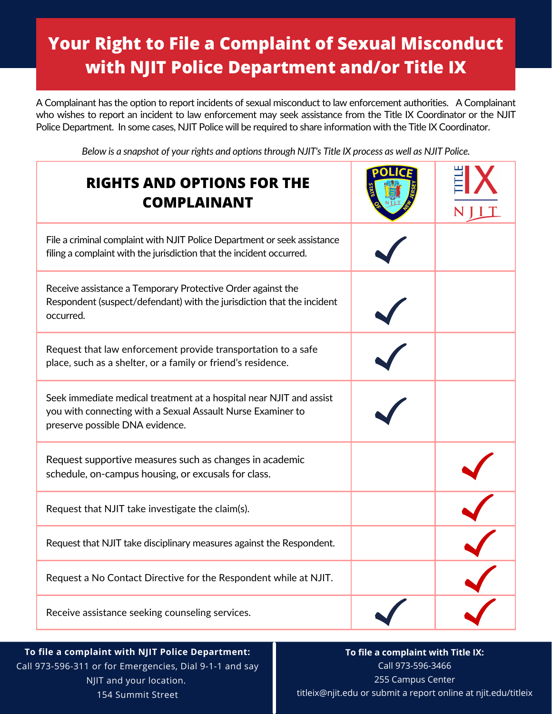# **Your Right to File a Complaint of Sexual Misconduct with NJIT Police Department and/or Title IX**

A Complainant has the option to report incidents of sexual misconduct to law enforcement authorities. A Complainant who wishes to report an incident to law enforcement may seek assistance from the Title IX Coordinator or the NJIT Police Department. In some cases, NJIT Police will be required to share information with the Title IX Coordinator.

Below is a snapshot of your rights and options through NJIT's Title IX process as well as NJIT Police.

| <b>RIGHTS AND OPTIONS FOR THE</b><br><b>COMPLAINANT</b>                                                                                                               |  |
|-----------------------------------------------------------------------------------------------------------------------------------------------------------------------|--|
| File a criminal complaint with NJIT Police Department or seek assistance<br>filing a complaint with the jurisdiction that the incident occurred.                      |  |
| Receive assistance a Temporary Protective Order against the<br>Respondent (suspect/defendant) with the jurisdiction that the incident<br>occurred.                    |  |
| Request that law enforcement provide transportation to a safe<br>place, such as a shelter, or a family or friend's residence.                                         |  |
| Seek immediate medical treatment at a hospital near NJIT and assist<br>you with connecting with a Sexual Assault Nurse Examiner to<br>preserve possible DNA evidence. |  |
| Request supportive measures such as changes in academic<br>schedule, on-campus housing, or excusals for class.                                                        |  |
| Request that NJIT take investigate the claim(s).                                                                                                                      |  |
| Request that NJIT take disciplinary measures against the Respondent.                                                                                                  |  |
| Request a No Contact Directive for the Respondent while at NJIT.                                                                                                      |  |
| Receive assistance seeking counseling services.                                                                                                                       |  |

**To file a complaint with NJIT Police Department:** Call 973-596-311 or for Emergencies, Dial 9-1-1 and say NJIT and your location. 154 Summit Street

**To file a complaint with Title IX:** Call 973-596-3466 255 Campus Center titleix@njit.edu or submit a report online at njit.edu/titleix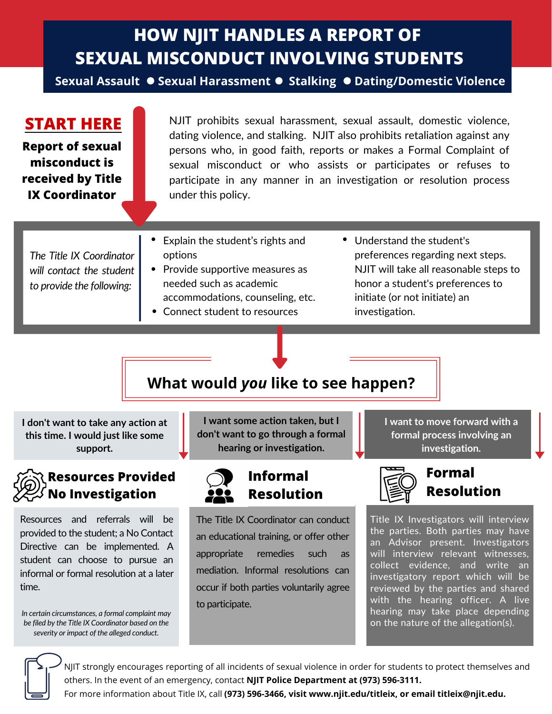# **HOW NJIT HANDLES A REPORT OF SEXUAL MISCONDUCT INVOLVING STUDENTS**

**Sexual Assault ● Sexual Harassment ● Stalking ● Dating/Domestic Violence** 

**START HERE Report of sexual**

#### **misconduct is received by Title IX Coordinator**

NJIT prohibits sexual harassment, sexual assault, domestic violence, dating violence, and stalking. NJIT also prohibits retaliation against any persons who, in good faith, reports or makes a Formal Complaint of sexual misconduct or who assists or participates or refuses to participate in any manner in an investigation or resolution process under this policy.

*The Title IX Coordinator will contact the student to provide the following:*

- Explain the student's rights and options
- Provide supportive measures as needed such as academic accommodations, counseling, etc.
- Connect student to resources
- Understand the student's preferences regarding next steps. NJIT will take all reasonable steps to honor a student's preferences to initiate (or not initiate) an investigation.

# **What would** *you* **like to see happen?**

**I don't want to take any action at this time. I would just like some support.**

# **Resources Provided No Investigation**

Resources and referrals will be provided to the student; a No Contact Directive can be implemented. A student can choose to pursue an informal or formal resolution at a later time.

*In certain circumstances, a formal complaint may be filed by the Title IX Coordinator based on the severity or impact of the alleged conduct.*

**I want some action taken, but I don't want to go through a formal hearing or investigation.**

# **Informal Resolution**

The Title IX Coordinator can conduct an educational training, or offer other appropriate remedies such as mediation. Informal resolutions can occur if both parties voluntarily agree to participate.

**I want to move forward with a formal process involving an investigation.**



## **Formal Resolution**

Title IX Investigators will interview the parties. Both parties may have an Advisor present. Investigators will interview relevant witnesses, collect evidence, and write an investigatory report which will be reviewed by the parties and shared with the hearing officer. A live hearing may take place depending on the nature of the allegation(s).

NJIT strongly encourages reporting of all incidents of sexual violence in order for students to protect themselves and others. In the event of an emergency, contact **NJIT Police Department at (973) 596-3111.**

For more information about Title IX, call **(973) 596-3466, visit www.njit.edu/titleix, or email titleix@njit.edu.**